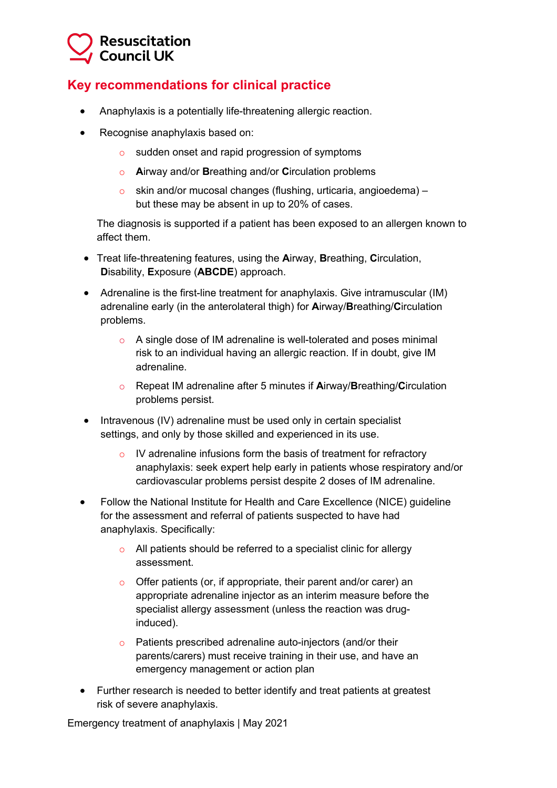## **Resuscitation Council UK**

## **Key recommendations for clinical practice**

- Anaphylaxis is a potentially life-threatening allergic reaction.
- Recognise anaphylaxis based on:
	- o sudden onset and rapid progression of symptoms
	- o **A**irway and/or **B**reathing and/or **C**irculation problems
	- o skin and/or mucosal changes (flushing, urticaria, angioedema) but these may be absent in up to 20% of cases.

The diagnosis is supported if a patient has been exposed to an allergen known to affect them.

- Treat life-threatening features, using the **A**irway, **B**reathing, **C**irculation, **D**isability, **E**xposure (**ABCDE**) approach.
- Adrenaline is the first-line treatment for anaphylaxis. Give intramuscular (IM) adrenaline early (in the anterolateral thigh) for **A**irway/**B**reathing/**C**irculation problems.
	- o A single dose of IM adrenaline is well-tolerated and poses minimal risk to an individual having an allergic reaction. If in doubt, give IM adrenaline.
	- o Repeat IM adrenaline after 5 minutes if **A**irway/**B**reathing/**C**irculation problems persist.
- Intravenous (IV) adrenaline must be used only in certain specialist settings, and only by those skilled and experienced in its use.
	- o IV adrenaline infusions form the basis of treatment for refractory anaphylaxis: seek expert help early in patients whose respiratory and/or cardiovascular problems persist despite 2 doses of IM adrenaline.
- Follow the National Institute for Health and Care Excellence (NICE) guideline for the assessment and referral of patients suspected to have had anaphylaxis. Specifically:
	- o All patients should be referred to a specialist clinic for allergy assessment.
	- o Offer patients (or, if appropriate, their parent and/or carer) an appropriate adrenaline injector as an interim measure before the specialist allergy assessment (unless the reaction was druginduced).
	- o Patients prescribed adrenaline auto-injectors (and/or their parents/carers) must receive training in their use, and have an emergency management or action plan
- Further research is needed to better identify and treat patients at greatest risk of severe anaphylaxis.

Emergency treatment of anaphylaxis | May 2021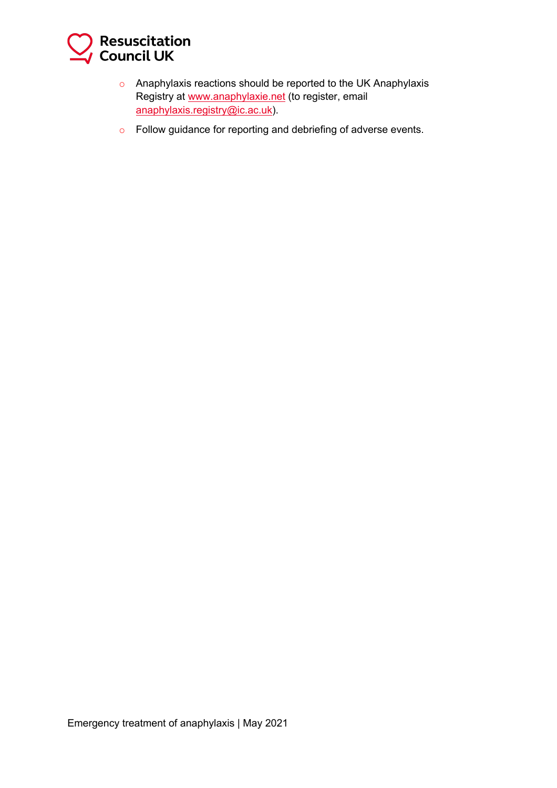

- o Anaphylaxis reactions should be reported to the UK Anaphylaxis Registry at www.anaphylaxie.net (to register, email anaphylaxis.registry@ic.ac.uk).
- o Follow guidance for reporting and debriefing of adverse events.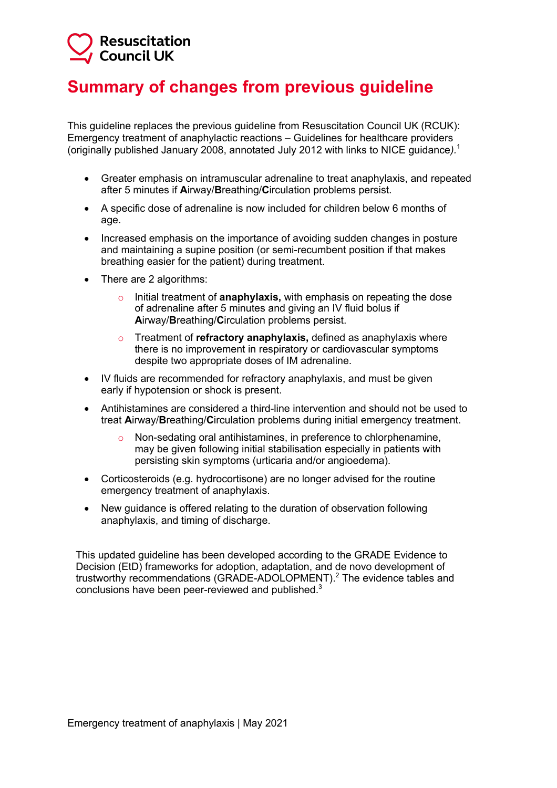## **Resuscitation Council UK**

## **Summary of changes from previous guideline**

This guideline replaces the previous guideline from Resuscitation Council UK (RCUK): Emergency treatment of anaphylactic reactions – Guidelines for healthcare providers (originally published January 2008, annotated July 2012 with links to NICE guidance*).*<sup>1</sup>

- Greater emphasis on intramuscular adrenaline to treat anaphylaxis, and repeated after 5 minutes if **A**irway/**B**reathing/**C**irculation problems persist.
- A specific dose of adrenaline is now included for children below 6 months of age.
- Increased emphasis on the importance of avoiding sudden changes in posture and maintaining a supine position (or semi-recumbent position if that makes breathing easier for the patient) during treatment.
- There are 2 algorithms:
	- o Initial treatment of **anaphylaxis,** with emphasis on repeating the dose of adrenaline after 5 minutes and giving an IV fluid bolus if **A**irway/**B**reathing/**C**irculation problems persist.
	- o Treatment of **refractory anaphylaxis,** defined as anaphylaxis where there is no improvement in respiratory or cardiovascular symptoms despite two appropriate doses of IM adrenaline.
- IV fluids are recommended for refractory anaphylaxis, and must be given early if hypotension or shock is present.
- Antihistamines are considered a third-line intervention and should not be used to treat **A**irway/**B**reathing/**C**irculation problems during initial emergency treatment.
	- Non-sedating oral antihistamines, in preference to chlorphenamine, may be given following initial stabilisation especially in patients with persisting skin symptoms (urticaria and/or angioedema).
- Corticosteroids (e.g. hydrocortisone) are no longer advised for the routine emergency treatment of anaphylaxis.
- New guidance is offered relating to the duration of observation following anaphylaxis, and timing of discharge.

This updated guideline has been developed according to the GRADE Evidence to Decision (EtD) frameworks for adoption, adaptation, and de novo development of trustworthy recommendations (GRADE-ADOLOPMENT).<sup>2</sup> The evidence tables and conclusions have been peer-reviewed and published. $3$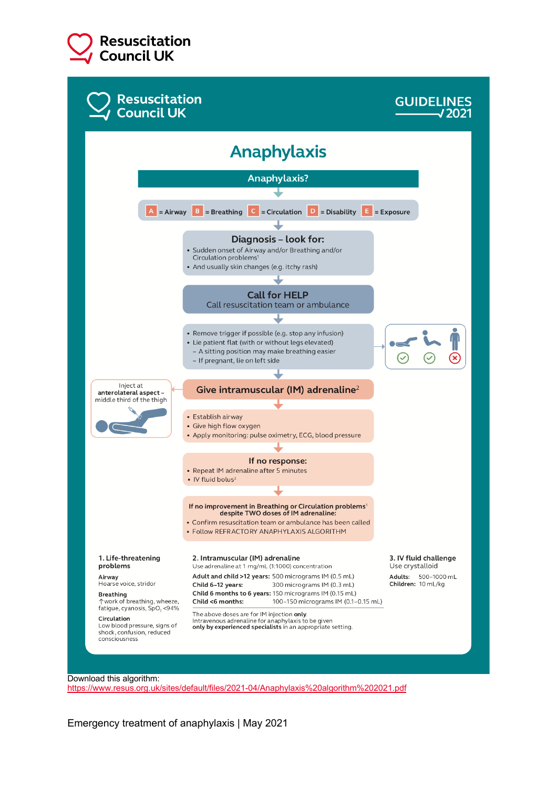



https://www.resus.org.uk/sites/default/files/2021-04/Anaphylaxis%20algorithm%202021.pdf

Emergency treatment of anaphylaxis | May 2021